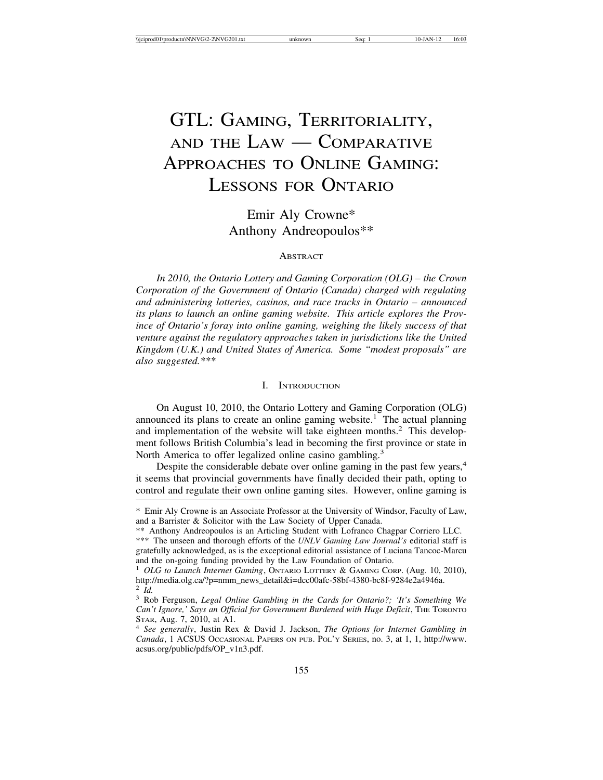# GTL: GAMING, TERRITORIALITY, AND THE LAW — COMPARATIVE APPROACHES TO ONLINE GAMING: LESSONS FOR ONTARIO

Emir Aly Crowne\* Anthony Andreopoulos\*\*

#### **ABSTRACT**

*In 2010, the Ontario Lottery and Gaming Corporation (OLG) – the Crown Corporation of the Government of Ontario (Canada) charged with regulating and administering lotteries, casinos, and race tracks in Ontario – announced its plans to launch an online gaming website. This article explores the Province of Ontario's foray into online gaming, weighing the likely success of that venture against the regulatory approaches taken in jurisdictions like the United Kingdom (U.K.) and United States of America. Some "modest proposals" are also suggested.\*\*\**

## I. INTRODUCTION

On August 10, 2010, the Ontario Lottery and Gaming Corporation (OLG) announced its plans to create an online gaming website.<sup>1</sup> The actual planning and implementation of the website will take eighteen months.<sup>2</sup> This development follows British Columbia's lead in becoming the first province or state in North America to offer legalized online casino gambling.<sup>3</sup>

Despite the considerable debate over online gaming in the past few years,<sup>4</sup> it seems that provincial governments have finally decided their path, opting to control and regulate their own online gaming sites. However, online gaming is

<sup>\*</sup> Emir Aly Crowne is an Associate Professor at the University of Windsor, Faculty of Law, and a Barrister & Solicitor with the Law Society of Upper Canada.

<sup>\*\*</sup> Anthony Andreopoulos is an Articling Student with Lofranco Chagpar Corriero LLC.

<sup>\*\*\*</sup> The unseen and thorough efforts of the *UNLV Gaming Law Journal's* editorial staff is gratefully acknowledged, as is the exceptional editorial assistance of Luciana Tancoc-Marcu and the on-going funding provided by the Law Foundation of Ontario.

<sup>&</sup>lt;sup>1</sup> OLG to Launch Internet Gaming, ONTARIO LOTTERY & GAMING CORP. (Aug. 10, 2010), http://media.olg.ca/?p=nmm\_news\_detail&i=dcc00afc-58bf-4380-bc8f-9284e2a4946a.<br><sup>2</sup> Id.

<sup>&</sup>lt;sup>3</sup> Rob Ferguson, *Legal Online Gambling in the Cards for Ontario?*; 'It's Something We *Can't Ignore,' Says an Official for Government Burdened with Huge Deficit*, THE TORONTO STAR, Aug. 7, 2010, at A1. <sup>4</sup> *See generally*, Justin Rex & David J. Jackson, *The Options for Internet Gambling in*

*Canada*, 1 ACSUS OCCASIONAL PAPERS ON PUB. POL'Y SERIES, no. 3, at 1, 1, http://www. acsus.org/public/pdfs/OP\_v1n3.pdf.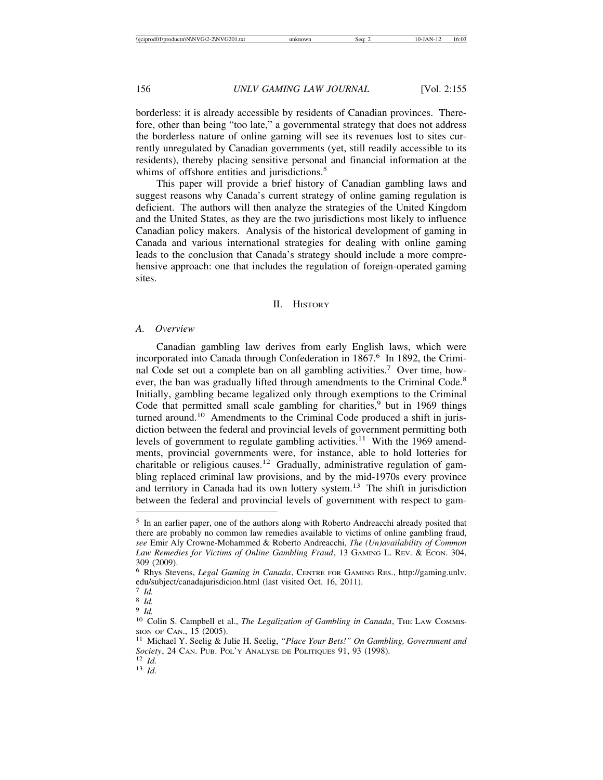borderless: it is already accessible by residents of Canadian provinces. Therefore, other than being "too late," a governmental strategy that does not address the borderless nature of online gaming will see its revenues lost to sites currently unregulated by Canadian governments (yet, still readily accessible to its residents), thereby placing sensitive personal and financial information at the whims of offshore entities and jurisdictions.<sup>5</sup>

This paper will provide a brief history of Canadian gambling laws and suggest reasons why Canada's current strategy of online gaming regulation is deficient. The authors will then analyze the strategies of the United Kingdom and the United States, as they are the two jurisdictions most likely to influence Canadian policy makers. Analysis of the historical development of gaming in Canada and various international strategies for dealing with online gaming leads to the conclusion that Canada's strategy should include a more comprehensive approach: one that includes the regulation of foreign-operated gaming sites.

## II. HISTORY

## *A. Overview*

Canadian gambling law derives from early English laws, which were incorporated into Canada through Confederation in 1867.<sup>6</sup> In 1892, the Criminal Code set out a complete ban on all gambling activities.7 Over time, however, the ban was gradually lifted through amendments to the Criminal Code.<sup>8</sup> Initially, gambling became legalized only through exemptions to the Criminal Code that permitted small scale gambling for charities, $9$  but in 1969 things turned around.<sup>10</sup> Amendments to the Criminal Code produced a shift in jurisdiction between the federal and provincial levels of government permitting both levels of government to regulate gambling activities.<sup>11</sup> With the 1969 amendments, provincial governments were, for instance, able to hold lotteries for charitable or religious causes.<sup>12</sup> Gradually, administrative regulation of gambling replaced criminal law provisions, and by the mid-1970s every province and territory in Canada had its own lottery system.<sup>13</sup> The shift in jurisdiction between the federal and provincial levels of government with respect to gam-

<sup>5</sup> In an earlier paper, one of the authors along with Roberto Andreacchi already posited that there are probably no common law remedies available to victims of online gambling fraud, *see* Emir Aly Crowne-Mohammed & Roberto Andreacchi, *The (Un)availability of Common Law Remedies for Victims of Online Gambling Fraud*, 13 GAMING L. REV. & ECON. 304, 309 (2009). <sup>6</sup> Rhys Stevens, *Legal Gaming in Canada*, CENTRE FOR GAMING RES., http://gaming.unlv.

edu/subject/canadajurisdicion.html (last visited Oct. 16, 2011).<br>  $\frac{7 \text{ } Id.}$ 

<sup>&</sup>lt;sup>8</sup> *Id.* 9 *Id.* 10 *Id.* 10 Colin S. Campbell et al., *The Legalization of Gambling in Canada*, The LAW COMMIS-SION OF CAN., 15 (2005). <sup>11</sup> Michael Y. Seelig & Julie H. Seelig, *"Place Your Bets!" On Gambling, Government and*

*Society*, 24 Can. Pub. Pol'y Analyse de Politiques 91, 93 (1998).<br><sup>12</sup> *Id.* 13 *Id.*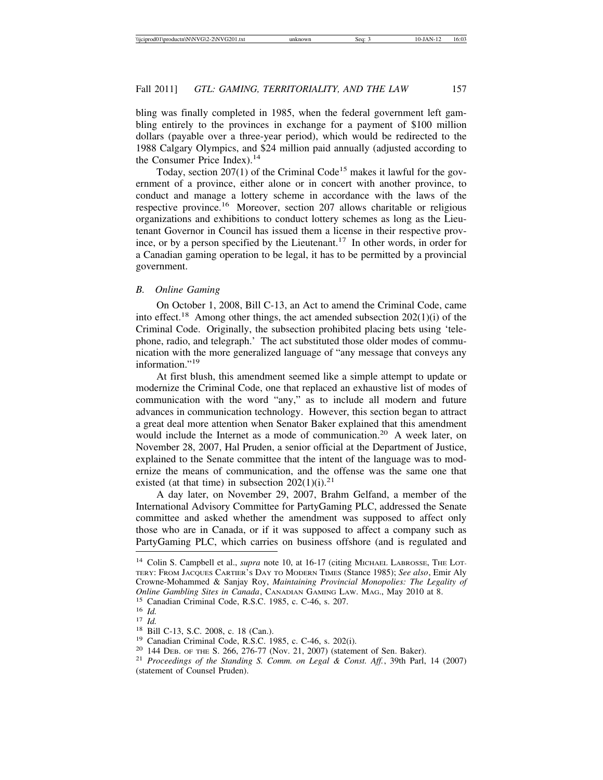bling was finally completed in 1985, when the federal government left gambling entirely to the provinces in exchange for a payment of \$100 million dollars (payable over a three-year period), which would be redirected to the 1988 Calgary Olympics, and \$24 million paid annually (adjusted according to the Consumer Price Index).<sup>14</sup>

Today, section  $207(1)$  of the Criminal Code<sup>15</sup> makes it lawful for the government of a province, either alone or in concert with another province, to conduct and manage a lottery scheme in accordance with the laws of the respective province.16 Moreover, section 207 allows charitable or religious organizations and exhibitions to conduct lottery schemes as long as the Lieutenant Governor in Council has issued them a license in their respective province, or by a person specified by the Lieutenant.<sup>17</sup> In other words, in order for a Canadian gaming operation to be legal, it has to be permitted by a provincial government.

## *B. Online Gaming*

On October 1, 2008, Bill C-13, an Act to amend the Criminal Code, came into effect.<sup>18</sup> Among other things, the act amended subsection  $202(1)(i)$  of the Criminal Code. Originally, the subsection prohibited placing bets using 'telephone, radio, and telegraph.' The act substituted those older modes of communication with the more generalized language of "any message that conveys any information."<sup>19</sup>

At first blush, this amendment seemed like a simple attempt to update or modernize the Criminal Code, one that replaced an exhaustive list of modes of communication with the word "any," as to include all modern and future advances in communication technology. However, this section began to attract a great deal more attention when Senator Baker explained that this amendment would include the Internet as a mode of communication.<sup>20</sup> A week later, on November 28, 2007, Hal Pruden, a senior official at the Department of Justice, explained to the Senate committee that the intent of the language was to modernize the means of communication, and the offense was the same one that existed (at that time) in subsection  $202(1)(i).^{21}$ 

A day later, on November 29, 2007, Brahm Gelfand, a member of the International Advisory Committee for PartyGaming PLC, addressed the Senate committee and asked whether the amendment was supposed to affect only those who are in Canada, or if it was supposed to affect a company such as PartyGaming PLC, which carries on business offshore (and is regulated and

<sup>&</sup>lt;sup>14</sup> Colin S. Campbell et al., *supra* note 10, at 16-17 (citing MICHAEL LABROSSE, THE LOT-TERY: FROM JACQUES CARTIER'S DAY TO MODERN TIMES (Stance 1985); *See also*, Emir Aly Crowne-Mohammed & Sanjay Roy, *Maintaining Provincial Monopolies: The Legality of Online Gambling Sites in Canada*, CANADIAN GAMING LAW. MAG., May 2010 at 8.<br><sup>15</sup> Canadian Criminal Code, R.S.C. 1985, c. C-46, s. 207.<br><sup>16</sup> *Id.*<br><sup>17</sup> *Id.*<br><sup>18</sup> Bill C-13, S.C. 2008, c. 18 (Can.).<br><sup>19</sup> Canadian Criminal

<sup>(</sup>statement of Counsel Pruden).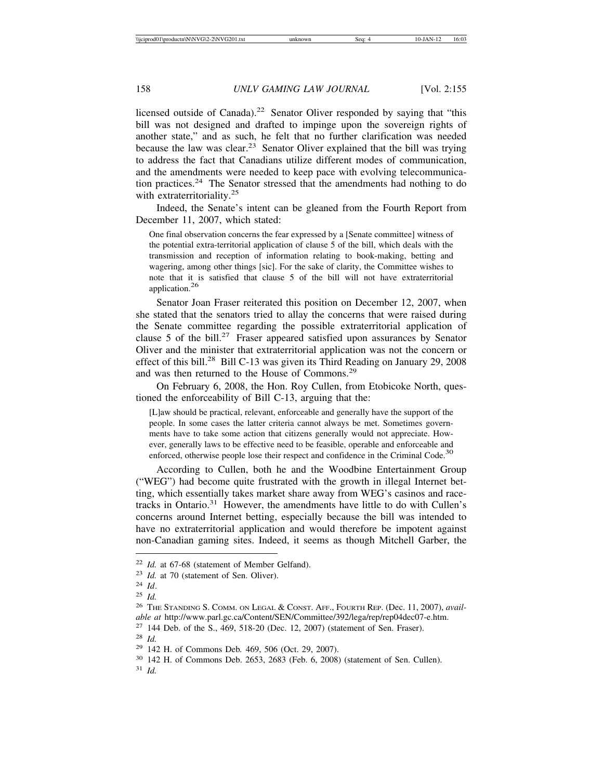licensed outside of Canada).<sup>22</sup> Senator Oliver responded by saying that "this bill was not designed and drafted to impinge upon the sovereign rights of another state," and as such, he felt that no further clarification was needed because the law was clear.<sup>23</sup> Senator Oliver explained that the bill was trying to address the fact that Canadians utilize different modes of communication, and the amendments were needed to keep pace with evolving telecommunication practices.<sup>24</sup> The Senator stressed that the amendments had nothing to do with extraterritoriality.<sup>25</sup>

Indeed, the Senate's intent can be gleaned from the Fourth Report from December 11, 2007, which stated:

One final observation concerns the fear expressed by a [Senate committee] witness of the potential extra-territorial application of clause 5 of the bill, which deals with the transmission and reception of information relating to book-making, betting and wagering, among other things [sic]. For the sake of clarity, the Committee wishes to note that it is satisfied that clause 5 of the bill will not have extraterritorial application.26

Senator Joan Fraser reiterated this position on December 12, 2007, when she stated that the senators tried to allay the concerns that were raised during the Senate committee regarding the possible extraterritorial application of clause 5 of the bill.<sup>27</sup> Fraser appeared satisfied upon assurances by Senator Oliver and the minister that extraterritorial application was not the concern or effect of this bill.<sup>28</sup> Bill C-13 was given its Third Reading on January 29, 2008 and was then returned to the House of Commons.<sup>29</sup>

On February 6, 2008, the Hon. Roy Cullen, from Etobicoke North, questioned the enforceability of Bill C-13, arguing that the:

[L]aw should be practical, relevant, enforceable and generally have the support of the people. In some cases the latter criteria cannot always be met. Sometimes governments have to take some action that citizens generally would not appreciate. However, generally laws to be effective need to be feasible, operable and enforceable and enforced, otherwise people lose their respect and confidence in the Criminal Code.<sup>30</sup>

According to Cullen, both he and the Woodbine Entertainment Group ("WEG") had become quite frustrated with the growth in illegal Internet betting, which essentially takes market share away from WEG's casinos and racetracks in Ontario. $31$  However, the amendments have little to do with Cullen's concerns around Internet betting, especially because the bill was intended to have no extraterritorial application and would therefore be impotent against non-Canadian gaming sites. Indeed, it seems as though Mitchell Garber, the

<sup>22</sup> *Id.* at 67-68 (statement of Member Gelfand).

<sup>23</sup> *Id.* at 70 (statement of Sen. Oliver).

<sup>24</sup> *Id*.

<sup>25</sup> *Id.*

<sup>26</sup> THE STANDING S. COMM. ON LEGAL & CONST. AFF., FOURTH REP. (Dec. 11, 2007), *available at* http://www.parl.gc.ca/Content/SEN/Committee/392/lega/rep/rep04dec07-e.htm.

<sup>27</sup> 144 Deb. of the S., 469, 518-20 (Dec. 12, 2007) (statement of Sen. Fraser).

<sup>28</sup> *Id.*

<sup>29</sup> 142 H. of Commons Deb*.* 469, 506 (Oct. 29, 2007).

<sup>30</sup> 142 H. of Commons Deb. 2653, 2683 (Feb. 6, 2008) (statement of Sen. Cullen).

<sup>31</sup> *Id.*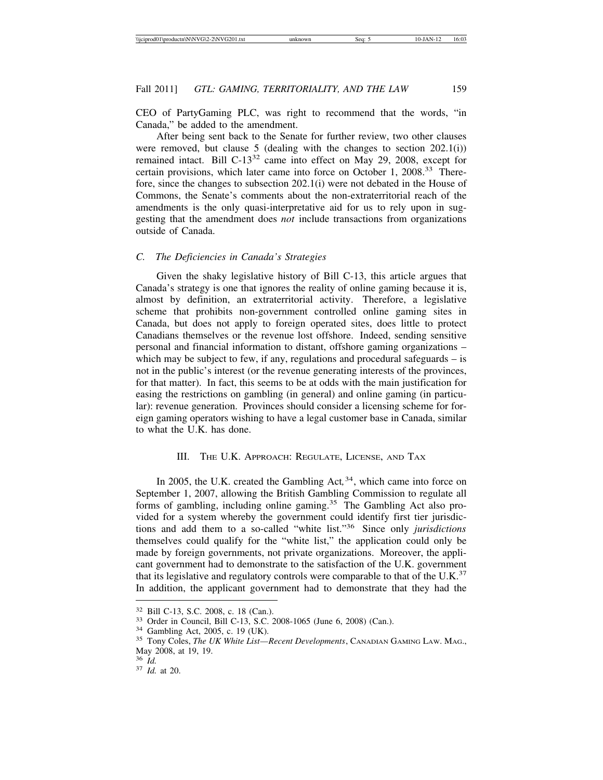CEO of PartyGaming PLC, was right to recommend that the words, "in Canada," be added to the amendment.

After being sent back to the Senate for further review, two other clauses were removed, but clause 5 (dealing with the changes to section  $202.1(i)$ ) remained intact. Bill C-13<sup>32</sup> came into effect on May 29, 2008, except for certain provisions, which later came into force on October 1, 2008.33 Therefore, since the changes to subsection 202.1(i) were not debated in the House of Commons, the Senate's comments about the non-extraterritorial reach of the amendments is the only quasi-interpretative aid for us to rely upon in suggesting that the amendment does *not* include transactions from organizations outside of Canada.

#### *C. The Deficiencies in Canada's Strategies*

Given the shaky legislative history of Bill C-13, this article argues that Canada's strategy is one that ignores the reality of online gaming because it is, almost by definition, an extraterritorial activity. Therefore, a legislative scheme that prohibits non-government controlled online gaming sites in Canada, but does not apply to foreign operated sites, does little to protect Canadians themselves or the revenue lost offshore. Indeed, sending sensitive personal and financial information to distant, offshore gaming organizations – which may be subject to few, if any, regulations and procedural safeguards – is not in the public's interest (or the revenue generating interests of the provinces, for that matter). In fact, this seems to be at odds with the main justification for easing the restrictions on gambling (in general) and online gaming (in particular): revenue generation. Provinces should consider a licensing scheme for foreign gaming operators wishing to have a legal customer base in Canada, similar to what the U.K. has done.

## III. THE U.K. APPROACH: REGULATE, LICENSE, AND TAX

In 2005, the U.K. created the Gambling Act,<sup>34</sup>, which came into force on September 1, 2007, allowing the British Gambling Commission to regulate all forms of gambling, including online gaming.<sup>35</sup> The Gambling Act also provided for a system whereby the government could identify first tier jurisdictions and add them to a so-called "white list."36 Since only *jurisdictions* themselves could qualify for the "white list," the application could only be made by foreign governments, not private organizations. Moreover, the applicant government had to demonstrate to the satisfaction of the U.K. government that its legislative and regulatory controls were comparable to that of the U.K. $37$ In addition, the applicant government had to demonstrate that they had the

<sup>&</sup>lt;sup>32</sup> Bill C-13, S.C. 2008, c. 18 (Can.).<br><sup>33</sup> Order in Council, Bill C-13, S.C. 2008-1065 (June 6, 2008) (Can.).<br><sup>34</sup> Gambling Act, 2005, c. 19 (UK).<br><sup>35</sup> Tony Coles, *The UK White List—Recent Developments*, CANADIAN GAMI May 2008, at 19, 19.<br><sup>36</sup> *Id.* 

<sup>36</sup> *Id.* <sup>37</sup> *Id.* at 20.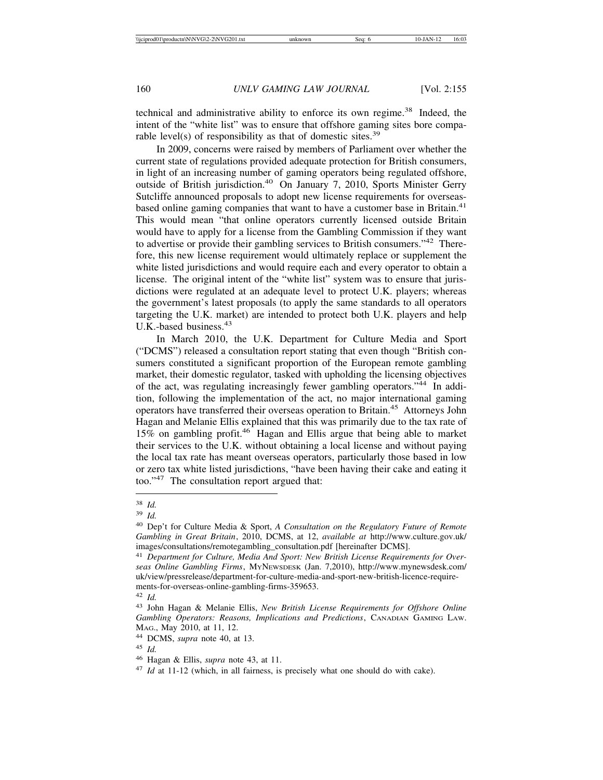technical and administrative ability to enforce its own regime.<sup>38</sup> Indeed, the intent of the "white list" was to ensure that offshore gaming sites bore comparable level(s) of responsibility as that of domestic sites.<sup>39</sup>

In 2009, concerns were raised by members of Parliament over whether the current state of regulations provided adequate protection for British consumers, in light of an increasing number of gaming operators being regulated offshore, outside of British jurisdiction.<sup>40</sup> On January 7, 2010, Sports Minister Gerry Sutcliffe announced proposals to adopt new license requirements for overseasbased online gaming companies that want to have a customer base in Britain.<sup>41</sup> This would mean "that online operators currently licensed outside Britain would have to apply for a license from the Gambling Commission if they want to advertise or provide their gambling services to British consumers."42 Therefore, this new license requirement would ultimately replace or supplement the white listed jurisdictions and would require each and every operator to obtain a license. The original intent of the "white list" system was to ensure that jurisdictions were regulated at an adequate level to protect U.K. players; whereas the government's latest proposals (to apply the same standards to all operators targeting the U.K. market) are intended to protect both U.K. players and help U.K.-based business.<sup>43</sup>

In March 2010, the U.K. Department for Culture Media and Sport ("DCMS") released a consultation report stating that even though "British consumers constituted a significant proportion of the European remote gambling market, their domestic regulator, tasked with upholding the licensing objectives of the act, was regulating increasingly fewer gambling operators."44 In addition, following the implementation of the act, no major international gaming operators have transferred their overseas operation to Britain.45 Attorneys John Hagan and Melanie Ellis explained that this was primarily due to the tax rate of 15% on gambling profit.<sup>46</sup> Hagan and Ellis argue that being able to market their services to the U.K. without obtaining a local license and without paying the local tax rate has meant overseas operators, particularly those based in low or zero tax white listed jurisdictions, "have been having their cake and eating it too."47 The consultation report argued that:

<sup>38</sup> *Id.*

<sup>39</sup> *Id.*

<sup>40</sup> Dep't for Culture Media & Sport, *A Consultation on the Regulatory Future of Remote Gambling in Great Britain*, 2010, DCMS, at 12, *available at* http://www.culture.gov.uk/ images/consultations/remotegambling\_consultation.pdf [hereinafter DCMS].

<sup>41</sup> *Department for Culture, Media And Sport: New British License Requirements for Overseas Online Gambling Firms*, MYNEWSDESK (Jan. 7,2010), http://www.mynewsdesk.com/ uk/view/pressrelease/department-for-culture-media-and-sport-new-british-licence-requirements-for-overseas-online-gambling-firms-359653.

<sup>42</sup> *Id.*

<sup>43</sup> John Hagan & Melanie Ellis, *New British License Requirements for Offshore Online Gambling Operators: Reasons, Implications and Predictions*, CANADIAN GAMING LAW. MAG., May 2010, at 11, 12.

<sup>44</sup> DCMS, *supra* note 40, at 13.

<sup>45</sup> *Id.*

<sup>46</sup> Hagan & Ellis, *supra* note 43, at 11.

<sup>47</sup> *Id* at 11-12 (which, in all fairness, is precisely what one should do with cake).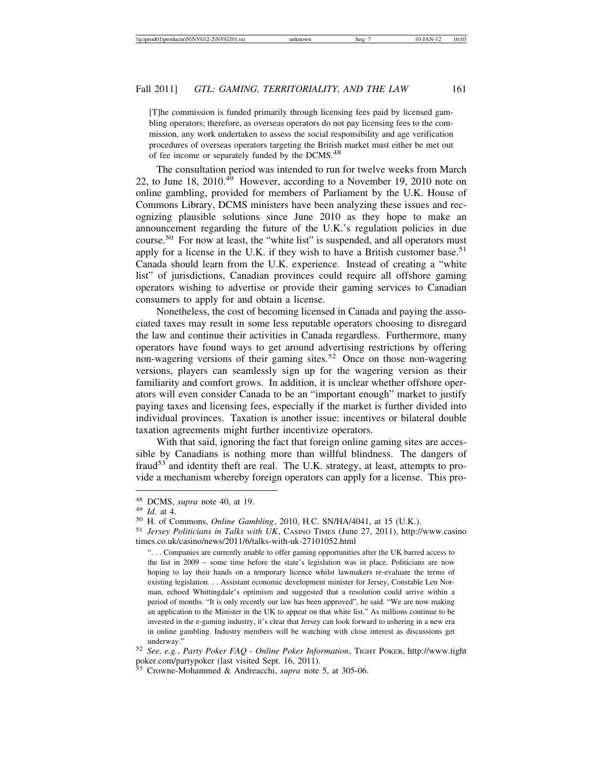[T]he commission is funded primarily through licensing fees paid by licensed gambling operators; therefore, as overseas operators do not pay licensing fees to the commission, any work undertaken to assess the social responsibility and age verification procedures of overseas operators targeting the British market must either be met out of fee income or separately funded by the DCMS.<sup>48</sup>

The consultation period was intended to run for twelve weeks from March 22, to June  $18$ ,  $2010^{49}$  However, according to a November 19, 2010 note on online gambling, provided for members of Parliament by the U.K. House of Commons Library, DCMS ministers have been analyzing these issues and recognizing plausible solutions since June 2010 as they hope to make an announcement regarding the future of the U.K.'s regulation policies in due course.50 For now at least, the "white list" is suspended, and all operators must apply for a license in the U.K. if they wish to have a British customer base.<sup>51</sup> Canada should learn from the U.K. experience. Instead of creating a "white list" of jurisdictions, Canadian provinces could require all offshore gaming operators wishing to advertise or provide their gaming services to Canadian consumers to apply for and obtain a license.

Nonetheless, the cost of becoming licensed in Canada and paying the associated taxes may result in some less reputable operators choosing to disregard the law and continue their activities in Canada regardless. Furthermore, many operators have found ways to get around advertising restrictions by offering non-wagering versions of their gaming sites.<sup>52</sup> Once on those non-wagering versions, players can seamlessly sign up for the wagering version as their familiarity and comfort grows. In addition, it is unclear whether offshore operators will even consider Canada to be an "important enough" market to justify paying taxes and licensing fees, especially if the market is further divided into individual provinces. Taxation is another issue: incentives or bilateral double taxation agreements might further incentivize operators.

With that said, ignoring the fact that foreign online gaming sites are accessible by Canadians is nothing more than willful blindness. The dangers of fraud<sup>53</sup> and identity theft are real. The U.K. strategy, at least, attempts to provide a mechanism whereby foreign operators can apply for a license. This pro-

<sup>&</sup>lt;sup>48</sup> DCMS, *supra* note 40, at 19.<br><sup>49</sup> Id. at 4.<br><sup>50</sup> H. of Commons, *Online Gambling*, 2010, H.C. SN/HA/4041, at 15 (U.K.).<br><sup>51</sup> Jersey Politicians in Talks with UK, CASINO TIMES (June 27, 2011), http://www.casino times.co.uk/casino/news/2011/6/talks-with-uk-27101052.html

<sup>&</sup>quot;. . . Companies are currently unable to offer gaming opportunities after the UK barred access to the list in 2009 – some time before the state's legislation was in place. Politicians are now hoping to lay their hands on a temporary licence whilst lawmakers re-evaluate the terms of existing legislation. . . Assistant economic development minister for Jersey, Constable Len Norman, echoed Whittingdale's optimism and suggested that a resolution could arrive within a period of months. "It is only recently our law has been approved", he said. "We are now making an application to the Minister in the UK to appear on that white list." As millions continue to be invested in the e-gaming industry, it's clear that Jersey can look forward to ushering in a new era in online gambling. Industry members will be watching with close interest as discussions get underway." <sup>52</sup> *See, e.g.*, *Party Poker FAQ - Online Poker Information*, TIGHT POKER, http://www.tight

poker.com/partypoker (last visited Sept. 16, 2011).

<sup>53</sup> Crowne-Mohammed & Andreacchi, *supra* note 5, at 305-06.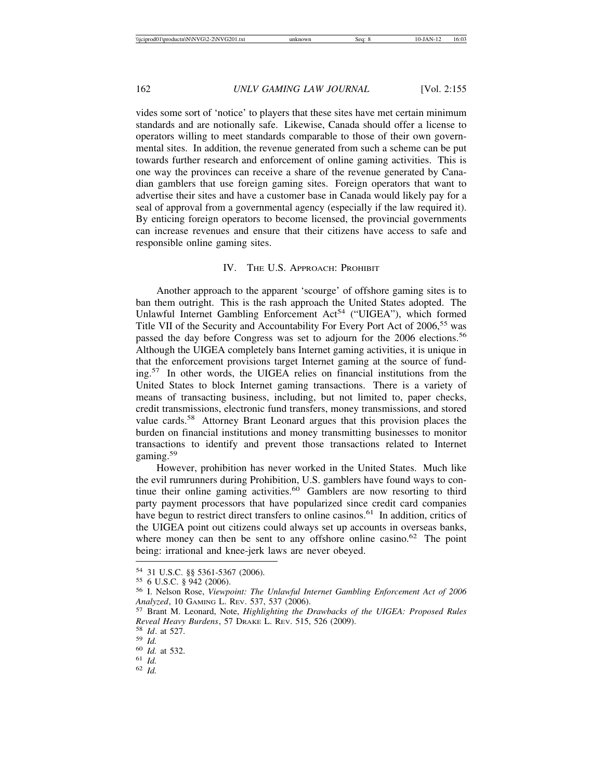vides some sort of 'notice' to players that these sites have met certain minimum standards and are notionally safe. Likewise, Canada should offer a license to operators willing to meet standards comparable to those of their own governmental sites. In addition, the revenue generated from such a scheme can be put towards further research and enforcement of online gaming activities. This is one way the provinces can receive a share of the revenue generated by Canadian gamblers that use foreign gaming sites. Foreign operators that want to advertise their sites and have a customer base in Canada would likely pay for a seal of approval from a governmental agency (especially if the law required it). By enticing foreign operators to become licensed, the provincial governments can increase revenues and ensure that their citizens have access to safe and responsible online gaming sites.

## IV. THE U.S. APPROACH: PROHIBIT

Another approach to the apparent 'scourge' of offshore gaming sites is to ban them outright. This is the rash approach the United States adopted. The Unlawful Internet Gambling Enforcement Act<sup>54</sup> ("UIGEA"), which formed Title VII of the Security and Accountability For Every Port Act of 2006,<sup>55</sup> was passed the day before Congress was set to adjourn for the 2006 elections.<sup>56</sup> Although the UIGEA completely bans Internet gaming activities, it is unique in that the enforcement provisions target Internet gaming at the source of funding.57 In other words, the UIGEA relies on financial institutions from the United States to block Internet gaming transactions. There is a variety of means of transacting business, including, but not limited to, paper checks, credit transmissions, electronic fund transfers, money transmissions, and stored value cards.58 Attorney Brant Leonard argues that this provision places the burden on financial institutions and money transmitting businesses to monitor transactions to identify and prevent those transactions related to Internet gaming.<sup>59</sup>

However, prohibition has never worked in the United States. Much like the evil rumrunners during Prohibition, U.S. gamblers have found ways to continue their online gaming activities.<sup>60</sup> Gamblers are now resorting to third party payment processors that have popularized since credit card companies have begun to restrict direct transfers to online casinos.<sup>61</sup> In addition, critics of the UIGEA point out citizens could always set up accounts in overseas banks, where money can then be sent to any offshore online casino.<sup>62</sup> The point being: irrational and knee-jerk laws are never obeyed.

<sup>54 31</sup> U.S.C. §§ 5361-5367 (2006).<br><sup>55</sup> 6 U.S.C. § 942 (2006).<br><sup>56</sup> I. Nelson Rose, *Viewpoint: The Unlawful Internet Gambling Enforcement Act of 2006*<br>*Analyzed*, 10 GAMING L. REV. 537, 537 (2006).

<sup>&</sup>lt;sup>57</sup> Brant M. Leonard, Note, *Highlighting the Drawbacks of the UIGEA: Proposed Rules Reveal Heavy Burdens*, 57 DRAKE L. REV. 515, 526 (2009).<br><sup>58</sup> *Id.* at 527.<br><sup>59</sup> *Id.* 60 *Id.* at 532.<br><sup>61</sup> *Id.* 62 *Id.*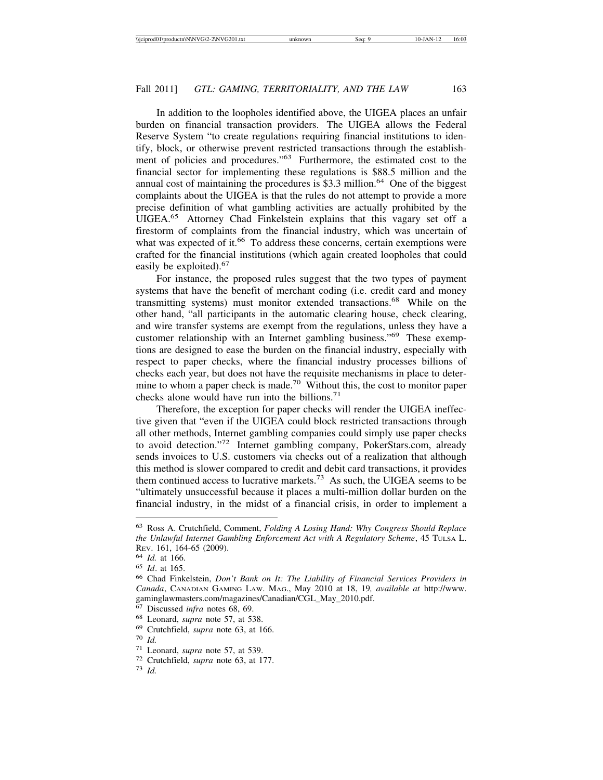In addition to the loopholes identified above, the UIGEA places an unfair burden on financial transaction providers. The UIGEA allows the Federal Reserve System "to create regulations requiring financial institutions to identify, block, or otherwise prevent restricted transactions through the establishment of policies and procedures."63 Furthermore, the estimated cost to the financial sector for implementing these regulations is \$88.5 million and the annual cost of maintaining the procedures is \$3.3 million.<sup>64</sup> One of the biggest complaints about the UIGEA is that the rules do not attempt to provide a more precise definition of what gambling activities are actually prohibited by the UIGEA.65 Attorney Chad Finkelstein explains that this vagary set off a firestorm of complaints from the financial industry, which was uncertain of what was expected of it. $^{66}$  To address these concerns, certain exemptions were crafted for the financial institutions (which again created loopholes that could easily be exploited).<sup>67</sup>

For instance, the proposed rules suggest that the two types of payment systems that have the benefit of merchant coding (i.e. credit card and money transmitting systems) must monitor extended transactions.<sup>68</sup> While on the other hand, "all participants in the automatic clearing house, check clearing, and wire transfer systems are exempt from the regulations, unless they have a customer relationship with an Internet gambling business."69 These exemptions are designed to ease the burden on the financial industry, especially with respect to paper checks, where the financial industry processes billions of checks each year, but does not have the requisite mechanisms in place to determine to whom a paper check is made.<sup>70</sup> Without this, the cost to monitor paper checks alone would have run into the billions.<sup>71</sup>

Therefore, the exception for paper checks will render the UIGEA ineffective given that "even if the UIGEA could block restricted transactions through all other methods, Internet gambling companies could simply use paper checks to avoid detection."72 Internet gambling company, PokerStars.com, already sends invoices to U.S. customers via checks out of a realization that although this method is slower compared to credit and debit card transactions, it provides them continued access to lucrative markets.<sup>73</sup> As such, the UIGEA seems to be "ultimately unsuccessful because it places a multi-million dollar burden on the financial industry, in the midst of a financial crisis, in order to implement a

<sup>63</sup> Ross A. Crutchfield, Comment, *Folding A Losing Hand: Why Congress Should Replace the Unlawful Internet Gambling Enforcement Act with A Regulatory Scheme*, 45 TULSA L. REV. 161, 164-65 (2009).

<sup>64</sup> *Id.* at 166.

<sup>65</sup> *Id*. at 165.

<sup>66</sup> Chad Finkelstein, *Don't Bank on It: The Liability of Financial Services Providers in Canada*, CANADIAN GAMING LAW. MAG., May 2010 at 18, 19*, available at* http://www. gaminglawmasters.com/magazines/Canadian/CGL\_May\_2010.pdf.

<sup>67</sup> Discussed *infra* notes 68, 69.

<sup>68</sup> Leonard, *supra* note 57, at 538.

<sup>69</sup> Crutchfield, *supra* note 63, at 166.

<sup>70</sup> *Id.*

<sup>71</sup> Leonard, *supra* note 57, at 539. <sup>72</sup> Crutchfield, *supra* note 63, at 177. <sup>73</sup> *Id.*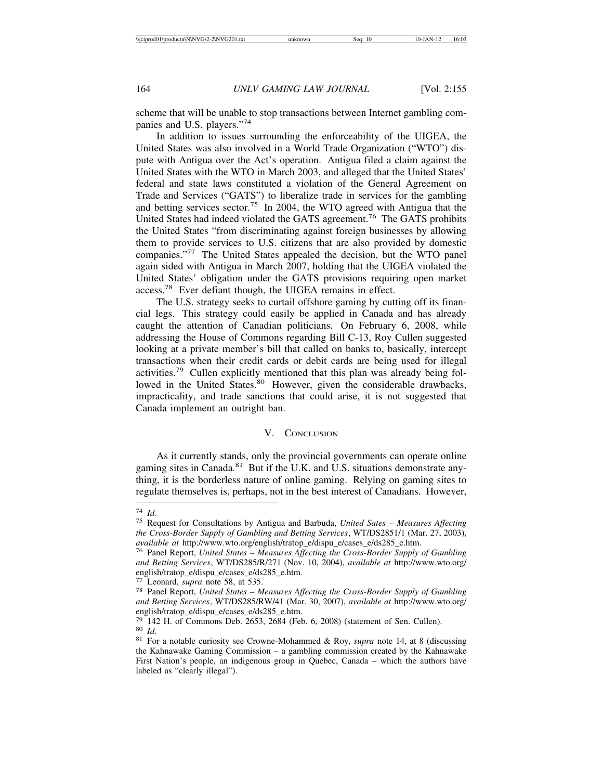scheme that will be unable to stop transactions between Internet gambling companies and U.S. players."<sup>74</sup>

In addition to issues surrounding the enforceability of the UIGEA, the United States was also involved in a World Trade Organization ("WTO") dispute with Antigua over the Act's operation. Antigua filed a claim against the United States with the WTO in March 2003, and alleged that the United States' federal and state laws constituted a violation of the General Agreement on Trade and Services ("GATS") to liberalize trade in services for the gambling and betting services sector.<sup>75</sup> In 2004, the WTO agreed with Antigua that the United States had indeed violated the GATS agreement.<sup>76</sup> The GATS prohibits the United States "from discriminating against foreign businesses by allowing them to provide services to U.S. citizens that are also provided by domestic companies."77 The United States appealed the decision, but the WTO panel again sided with Antigua in March 2007, holding that the UIGEA violated the United States' obligation under the GATS provisions requiring open market access.78 Ever defiant though, the UIGEA remains in effect.

The U.S. strategy seeks to curtail offshore gaming by cutting off its financial legs. This strategy could easily be applied in Canada and has already caught the attention of Canadian politicians. On February 6, 2008, while addressing the House of Commons regarding Bill C-13, Roy Cullen suggested looking at a private member's bill that called on banks to, basically, intercept transactions when their credit cards or debit cards are being used for illegal activities.79 Cullen explicitly mentioned that this plan was already being followed in the United States.<sup>80</sup> However, given the considerable drawbacks, impracticality, and trade sanctions that could arise, it is not suggested that Canada implement an outright ban.

## V. CONCLUSION

As it currently stands, only the provincial governments can operate online gaming sites in Canada.<sup>81</sup> But if the U.K. and U.S. situations demonstrate anything, it is the borderless nature of online gaming. Relying on gaming sites to regulate themselves is, perhaps, not in the best interest of Canadians. However,

<sup>74</sup> *Id.* <sup>75</sup> Request for Consultations by Antigua and Barbuda, *United Sates – Measures Affecting the Cross-Border Supply of Gambling and Betting Services*, WT/DS2851/1 (Mar. 27, 2003), *available at* http://www.wto.org/english/tratop\_e/dispu\_e/cases\_e/ds285\_e.htm. <sup>76</sup> Panel Report, *United States – Measures Affecting the Cross-Border Supply of Gambling*

*and Betting Services*, WT/DS285/R/271 (Nov. 10, 2004), *available at* http://www.wto.org/ english/tratop\_e/dispu\_e/cases\_e/ds285\_e.htm.

<sup>77</sup> Leonard, *supra* note 58, at 535. <sup>78</sup> Panel Report, *United States – Measures Affecting the Cross-Border Supply of Gambling and Betting Services*, WT/DS285/RW/41 (Mar. 30, 2007), *available at* http://www.wto.org/ english/tratop\_e/dispu\_e/cases\_e/ds285\_e.htm.<br><sup>79</sup> 142 H. of Commons Deb. 2653, 2684 (Feb. 6, 2008) (statement of Sen. Cullen).

<sup>&</sup>lt;sup>80</sup> *Id.* <sup>81</sup> For a notable curiosity see Crowne-Mohammed & Roy, *supra* note 14, at 8 (discussing <sup>81</sup> For a notable curiosity see Crowne-Mohammed & Roy, *supra* note 14, at 8 (discussing

the Kahnawake Gaming Commission – a gambling commission created by the Kahnawake First Nation's people, an indigenous group in Quebec, Canada – which the authors have labeled as "clearly illegal").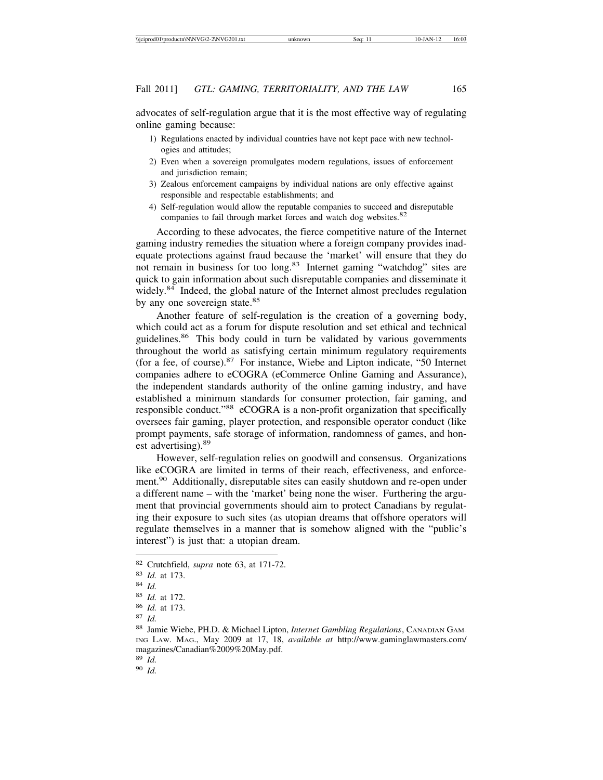advocates of self-regulation argue that it is the most effective way of regulating online gaming because:

- 1) Regulations enacted by individual countries have not kept pace with new technologies and attitudes;
- 2) Even when a sovereign promulgates modern regulations, issues of enforcement and jurisdiction remain;
- 3) Zealous enforcement campaigns by individual nations are only effective against responsible and respectable establishments; and
- 4) Self-regulation would allow the reputable companies to succeed and disreputable companies to fail through market forces and watch dog websites.<sup>82</sup>

According to these advocates, the fierce competitive nature of the Internet gaming industry remedies the situation where a foreign company provides inadequate protections against fraud because the 'market' will ensure that they do not remain in business for too long.<sup>83</sup> Internet gaming "watchdog" sites are quick to gain information about such disreputable companies and disseminate it widely.<sup>84</sup> Indeed, the global nature of the Internet almost precludes regulation by any one sovereign state.<sup>85</sup>

Another feature of self-regulation is the creation of a governing body, which could act as a forum for dispute resolution and set ethical and technical guidelines.<sup>86</sup> This body could in turn be validated by various governments throughout the world as satisfying certain minimum regulatory requirements (for a fee, of course).87 For instance, Wiebe and Lipton indicate, "50 Internet companies adhere to eCOGRA (eCommerce Online Gaming and Assurance), the independent standards authority of the online gaming industry, and have established a minimum standards for consumer protection, fair gaming, and responsible conduct."88 eCOGRA is a non-profit organization that specifically oversees fair gaming, player protection, and responsible operator conduct (like prompt payments, safe storage of information, randomness of games, and honest advertising).<sup>89</sup>

However, self-regulation relies on goodwill and consensus. Organizations like eCOGRA are limited in terms of their reach, effectiveness, and enforcement.<sup>90</sup> Additionally, disreputable sites can easily shutdown and re-open under a different name – with the 'market' being none the wiser. Furthering the argument that provincial governments should aim to protect Canadians by regulating their exposure to such sites (as utopian dreams that offshore operators will regulate themselves in a manner that is somehow aligned with the "public's interest") is just that: a utopian dream.

<sup>89</sup> *Id.*

<sup>90</sup> *Id.*

<sup>82</sup> Crutchfield, *supra* note 63, at 171-72.

<sup>83</sup> *Id.* at 173.

<sup>84</sup> *Id.*

<sup>85</sup> *Id.* at 172.

<sup>86</sup> *Id.* at 173.

<sup>87</sup> *Id.*

<sup>88</sup> Jamie Wiebe, PH.D. & Michael Lipton, *Internet Gambling Regulations*, CANADIAN GAM-ING LAW. MAG., May 2009 at 17, 18, *available at* http://www.gaminglawmasters.com/ magazines/Canadian%2009%20May.pdf.